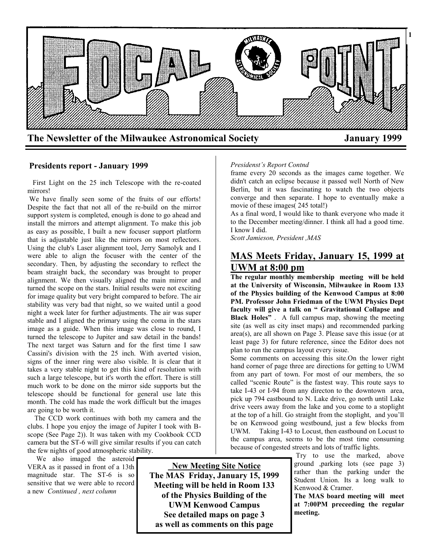

#### **Presidents report - January 1999**

 First Light on the 25 inch Telescope with the re-coated mirrors!

We have finally seen some of the fruits of our efforts! Despite the fact that not all of the re-build on the mirror support system is completed, enough is done to go ahead and install the mirrors and attempt alignment. To make this job as easy as possible, I built a new focuser support platform that is adjustable just like the mirrors on most reflectors. Using the club's Laser alignment tool, Jerry Samolyk and I were able to align the focuser with the center of the secondary. Then, by adjusting the secondary to reflect the beam straight back, the secondary was brought to proper alignment. We then visually aligned the main mirror and turned the scope on the stars. Initial results were not exciting for image quality but very bright compared to before. The air stability was very bad that night, so we waited until a good night a week later for further adjustments. The air was super stable and I aligned the primary using the coma in the stars image as a guide. When this image was close to round, I turned the telescope to Jupiter and saw detail in the bands! The next target was Saturn and for the first time I saw Cassini's division with the 25 inch. With averted vision, signs of the inner ring were also visible. It is clear that it takes a very stable night to get this kind of resolution with such a large telescope, but it's worth the effort. There is still much work to be done on the mirror side supports but the telescope should be functional for general use late this month. The cold has made the work difficult but the images are going to be worth it.

 The CCD work continues with both my camera and the clubs. I hope you enjoy the image of Jupiter I took with Bscope (See Page 2)). It was taken with my Cookbook CCD camera but the ST-6 will give similar results if you can catch the few nights of good atmospheric stability.

We also imaged the asteroid VERA as it passed in front of a 13th magnitude star. The ST-6 is so sensitive that we were able to record a new *Continued , next column*

 **New Meeting Site Notice The MAS Friday, January 15, 1999 Meeting will be held in Room 133 of the Physics Building of the UWM Kenwood Campus See detailed maps on page 3 as well as comments on this page**

#### *Presidenst's Report Contnd*

frame every 20 seconds as the images came together. We didn't catch an eclipse because it passed well North of New Berlin, but it was fascinating to watch the two objects converge and then separate. I hope to eventually make a movie of these images( 245 total!)

As a final word, I would like to thank everyone who made it to the December meeting/dinner. I think all had a good time. I know I did.

*Scott Jamieson, President ,MAS*

# **MAS Meets Friday, January 15, 1999 at UWM at 8:00 pm**

**The regular monthly membership meeting will be held at the University of Wisconsin, Milwaukee in Room 133 of the Physics building of the Kenwood Campus at 8:00 PM. Professor John Friedman of the UWM Physics Dept faculty will give a talk on " Gravitational Collapse and Black Holes"** . A full campus map, showing the meeting site (as well as city inset maps) and recommended parking area(s), are all shown on Page 3. Please save this issue (or at least page 3) for future reference, since the Editor does not plan to run the campus layout every issue.

Some comments on accessing this site.On the lower right hand corner of page three are directions for getting to UWM from any part of town. For most of our members, the so called "scenic Route" is the fastest way. This route says to take I-43 or I-94 from any directon to the downtown area, pick up 794 eastbound to N. Lake drive, go north until Lake drive veers away from the lake and you come to a stoplight at the top of a hill. Go straight from the stoplight, and you'll be on Kenwood going westbound, just a few blocks from UWM. Taking I-43 to Locust, then eastbound on Locust to the campus area, seems to be the most time consuming because of congested streets and lots of traffic lights.

Try to use the marked, above ground ,parking lots (see page 3) rather than the parking under the Student Union. Its a long walk to Kenwood & Cramer.

**The MAS board meeting will meet at 7:00PM preceeding the regular meeting.**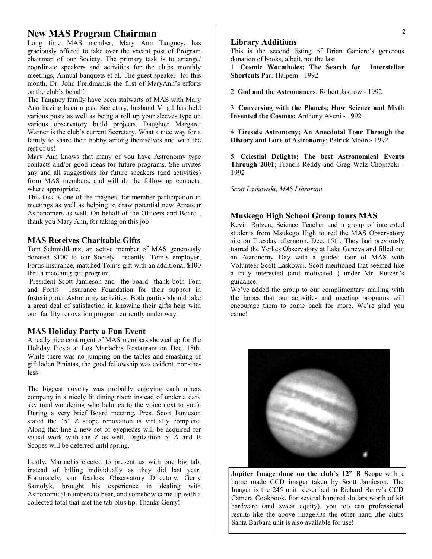## **New MAS Program Chairman**

Long time MAS member, Mary Ann Tangney, has graciously offered to take over the vacant post of Program chairman of our Society. The primary task is to arrange/ coordinate speakers and activities for the clubs monthly meetings, Annual banquets et al. The guest speaker for this month, Dr. John Freidman,is the first of MaryAnn's efforts on the club's behalf.

The Tangney family have been stalwarts of MAS with Mary Ann having been a past Secretary, husband Virgil has held various posts as well as being a roll up your sleeves type on various observatory build projects. Daughter Margaret Warner is the club's current Secretary. What a nice way for a family to share their hobby among themselves and with the rest of us!

Mary Ann knows that many of you have Astronomy type contacts and/or good ideas for future programs. She invites any and all suggestions for future speakers (and activities) from MAS members, and will do the follow up contacts, where appropriate.

This task is one of the magnets for member participation in meetings as well as helping to draw potential new Amateur Astronomers as well. On behalf of the Officers and Board , thank you Mary Ann, for taking on this job!

### **MAS Receives Charitable Gifts**

Tom Schmidtkunz, an active member of MAS generously donated \$100 to our Society recently. Tom's employer, Fortis Insurance, matched Tom's gift with an additional \$100 thru a matching gift program.

President Scott Jamieson and the board thank both Tom and Fortis Insurance Foundation for their support in fostering our Astronomy activities. Both parties should take a great deal of satisfaction in knowing their gifts help with our facility renovation program currently under way.

### **MAS Holiday Party a Fun Event**

A really nice contingent of MAS members showed up for the Holiday Fiesta at Los Mariachis Restaurant on Dec. 18th. While there was no jumping on the tables and smashing of gift laden Piniatas, the good fellowship was evident, non-theless!

The biggest novelty was probably enjoying each others company in a nicely lit dining room instead of under a dark sky (and wondering who belongs to the voice next to you). During a very brief Board meeting, Pres. Scott Jamieson stated the 25" Z scope renovation is virtually complete. Along that line a new set of eyepieces will be acquired for visual work with the Z as well. Digitzation of A and B Scopes will be deferred until spring.

Lastly, Mariachis elected to present us with one big tab, instead of billing individually as they did last year. Fortunately, our fearless Observatory Directory, Gerry Samolyk, brought his experience in dealing with Astronomical numbers to bear, and somehow came up with a collected total that met the tab plus tip. Thanks Gerry!

#### **Library Additions**

This is the second listing of Brian Ganiere's generous donation of books, albeit, not the last.

1. **Cosmic Wormholes; The Search for Interstellar Shortcuts** Paul Halpern - 1992

2. **God and the Astronomers**; Robert Jastrow - 1992

3. **Conversing with the Planets; How Science and Myth Invented the Cosmos;** Anthony Aveni - 1992

4. **Fireside Astronomy; An Anecdotal Tour Through the History and Lore of Astronomy**; Patrick Moore- 1992

5. **Celestial Delights; The best Astronomical Events Through 2001**; Francis Reddy and Greg Walz-Chojnacki - 1992

*Scott Laskowski, MAS Librarian*

#### **Muskego High School Group tours MAS**

Kevin Rutzen, Science Teacher and a group of interested students from Msukego High toured the MAS Observatory site on Tuesday afternoon, Dec. 15th. They had previously toured the Yerkes Observatory at Lake Geneva and filled out an Astronomy Day with a guided tour of MAS with Volunteer Scott Laskowsi. Scott mentioned that seemed like a truly interested (and motivated ) under Mr. Rutzen's guidance.

We've added the group to our complimentary mailing with the hopes that our activities and meeting programs will encourage them to come back for more. We're glad you came!



**Jupiter Image done on the club's 12" B Scope** with a home made CCD imager taken by Scott Jamieson. The Imager is the 245 unit described in Richard Berry's CCD Camera Cookbook. For several hundred dollars worth of kit hardware (and sweat equity), you too can professional results like the above image.On the other hand ,the clubs Santa Barbara unit is also available for use!